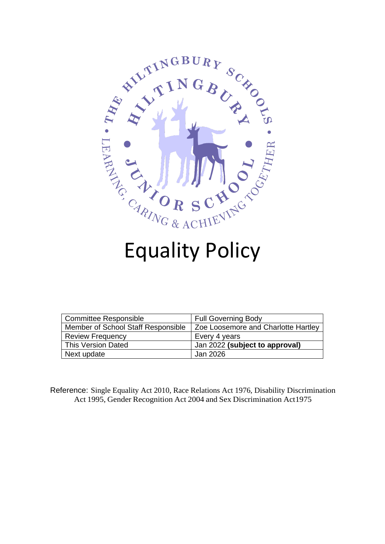

| <b>Committee Responsible</b>       | <b>Full Governing Body</b>          |
|------------------------------------|-------------------------------------|
| Member of School Staff Responsible | Zoe Loosemore and Charlotte Hartley |
| <b>Review Frequency</b>            | Every 4 years                       |
| This Version Dated                 | Jan 2022 (subject to approval)      |
| Next update                        | Jan 2026                            |

Reference: Single Equality Act 2010, Race Relations Act 1976, Disability Discrimination Act 1995, Gender Recognition Act 2004 and Sex Discrimination Act1975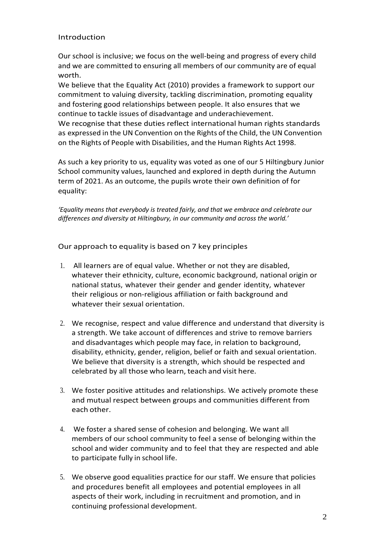#### Introduction

Our school is inclusive; we focus on the well-being and progress of every child and we are committed to ensuring all members of our community are of equal worth.

We believe that the Equality Act (2010) provides a framework to support our commitment to valuing diversity, tackling discrimination, promoting equality and fostering good relationships between people. It also ensures that we continue to tackle issues of disadvantage and underachievement.

We recognise that these duties reflect international human rights standards as expressed in the UN Convention on the Rights of the Child, the UN Convention on the Rights of People with Disabilities, and the Human Rights Act 1998.

As such a key priority to us, equality was voted as one of our 5 Hiltingbury Junior School community values, launched and explored in depth during the Autumn term of 2021. As an outcome, the pupils wrote their own definition of for equality:

*'Equality means that everybody is treated fairly, and that we embrace and celebrate our differences and diversity at Hiltingbury, in our community and across the world.'*

Our approach to equality is based on 7 key principles

- 1. All learners are of equal value. Whether or not they are disabled, whatever their ethnicity, culture, economic background, national origin or national status, whatever their gender and gender identity, whatever their religious or non-religious affiliation or faith background and whatever their sexual orientation.
- 2. We recognise, respect and value difference and understand that diversity is a strength. We take account of differences and strive to remove barriers and disadvantages which people may face, in relation to background, disability, ethnicity, gender, religion, belief or faith and sexual orientation. We believe that diversity is a strength, which should be respected and celebrated by all those who learn, teach and visit here.
- 3. We foster positive attitudes and relationships. We actively promote these and mutual respect between groups and communities different from each other.
- 4. We foster a shared sense of cohesion and belonging. We want all members of our school community to feel a sense of belonging within the school and wider community and to feel that they are respected and able to participate fully in school life.
- 5. We observe good equalities practice for our staff. We ensure that policies and procedures benefit all employees and potential employees in all aspects of their work, including in recruitment and promotion, and in continuing professional development.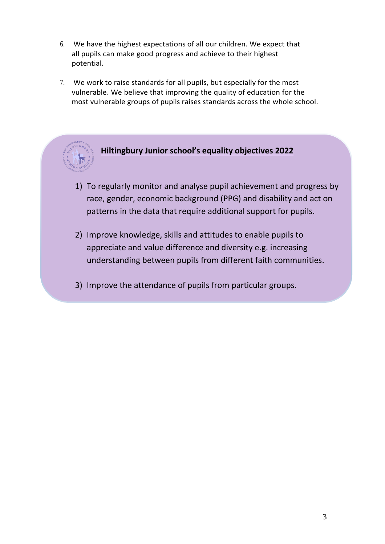- 6. We have the highest expectations of all our children. We expect that all pupils can make good progress and achieve to their highest potential.
- 7. We work to raise standards for all pupils, but especially for the most vulnerable. We believe that improving the quality of education for the most vulnerable groups of pupils raises standards across the whole school.



# **Hiltingbury Junior school's equality objectives 2022**

- 1) To regularly monitor and analyse pupil achievement and progress by race, gender, economic background (PPG) and disability and act on patterns in the data that require additional support for pupils.
- 2) Improve knowledge, skills and attitudes to enable pupils to appreciate and value difference and diversity e.g. increasing understanding between pupils from different faith communities.
- 3) Improve the attendance of pupils from particular groups.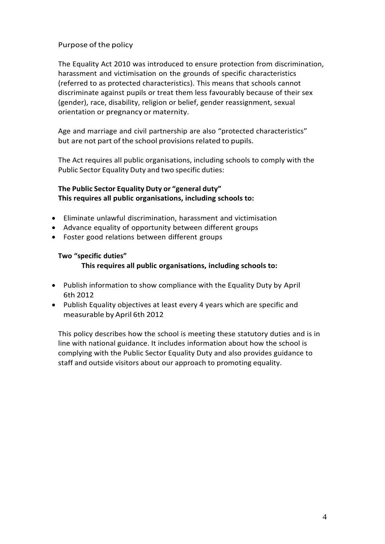# Purpose of the policy

The Equality Act 2010 was introduced to ensure protection from discrimination, harassment and victimisation on the grounds of specific characteristics (referred to as protected characteristics). This means that schools cannot discriminate against pupils or treat them less favourably because of their sex (gender), race, disability, religion or belief, gender reassignment, sexual orientation or pregnancy or maternity.

Age and marriage and civil partnership are also "protected characteristics" but are not part of the school provisions related to pupils.

The Act requires all public organisations, including schools to comply with the Public Sector Equality Duty and two specific duties:

# **The Public Sector Equality Duty or "general duty" This requires all public organisations, including schools to:**

- Eliminate unlawful discrimination, harassment and victimisation
- Advance equality of opportunity between different groups
- Foster good relations between different groups

#### **Two "specific duties"**

#### **This requires all public organisations, including schools to:**

- Publish information to show compliance with the Equality Duty by April 6th 2012
- Publish Equality objectives at least every 4 years which are specific and measurable by April 6th 2012

This policy describes how the school is meeting these statutory duties and is in line with national guidance. It includes information about how the school is complying with the Public Sector Equality Duty and also provides guidance to staff and outside visitors about our approach to promoting equality.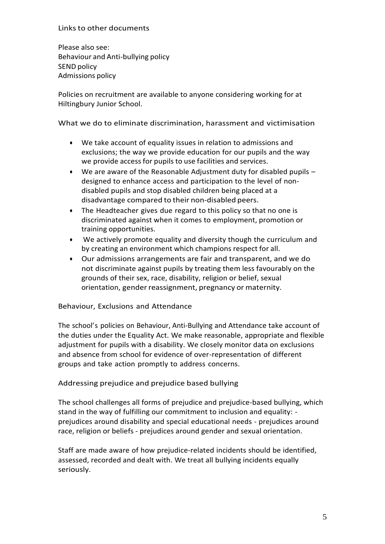#### Linksto other documents

Please also see: Behaviour and Anti-bullying policy SEND policy Admissions policy

Policies on recruitment are available to anyone considering working for at Hiltingbury Junior School.

What we do to eliminate discrimination, harassment and victimisation

- We take account of equality issues in relation to admissions and exclusions; the way we provide education for our pupils and the way we provide access for pupils to use facilities and services.
- We are aware of the Reasonable Adjustment duty for disabled pupils designed to enhance access and participation to the level of nondisabled pupils and stop disabled children being placed at a disadvantage compared to their non-disabled peers.
- The Headteacher gives due regard to this policy so that no one is discriminated against when it comes to employment, promotion or training opportunities.
- We actively promote equality and diversity though the curriculum and by creating an environment which champions respect for all.
- Our admissions arrangements are fair and transparent, and we do not discriminate against pupils by treating them less favourably on the grounds of their sex, race, disability, religion or belief, sexual orientation, gender reassignment, pregnancy or maternity.

Behaviour, Exclusions and Attendance

The school's policies on Behaviour, Anti-Bullying and Attendance take account of the duties under the Equality Act. We make reasonable, appropriate and flexible adjustment for pupils with a disability. We closely monitor data on exclusions and absence from school for evidence of over-representation of different groups and take action promptly to address concerns.

Addressing prejudice and prejudice based bullying

The school challenges all forms of prejudice and prejudice-based bullying, which stand in the way of fulfilling our commitment to inclusion and equality: prejudices around disability and special educational needs - prejudices around race, religion or beliefs - prejudices around gender and sexual orientation.

Staff are made aware of how prejudice-related incidents should be identified, assessed, recorded and dealt with. We treat all bullying incidents equally seriously.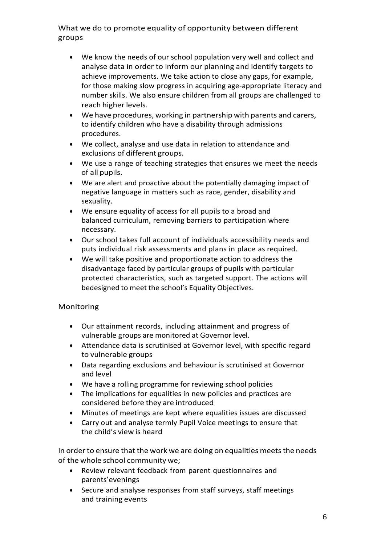What we do to promote equality of opportunity between different groups

- We know the needs of our school population very well and collect and analyse data in order to inform our planning and identify targets to achieve improvements. We take action to close any gaps, for example, for those making slow progress in acquiring age-appropriate literacy and number skills. We also ensure children from all groups are challenged to reach higher levels.
- We have procedures, working in partnership with parents and carers, to identify children who have a disability through admissions procedures.
- We collect, analyse and use data in relation to attendance and exclusions of different groups.
- We use a range of teaching strategies that ensures we meet the needs of all pupils.
- We are alert and proactive about the potentially damaging impact of negative language in matters such as race, gender, disability and sexuality.
- We ensure equality of access for all pupils to a broad and balanced curriculum, removing barriers to participation where necessary.
- Our school takes full account of individuals accessibility needs and puts individual risk assessments and plans in place as required.
- We will take positive and proportionate action to address the disadvantage faced by particular groups of pupils with particular protected characteristics, such as targeted support. The actions will bedesigned to meet the school's Equality Objectives.

### Monitoring

- Our attainment records, including attainment and progress of vulnerable groups are monitored at Governor level.
- Attendance data is scrutinised at Governor level, with specific regard to vulnerable groups
- Data regarding exclusions and behaviour is scrutinised at Governor and level
- We have a rolling programme for reviewing school policies
- The implications for equalities in new policies and practices are considered before they are introduced
- Minutes of meetings are kept where equalities issues are discussed
- Carry out and analyse termly Pupil Voice meetings to ensure that the child's view is heard

In order to ensure that the work we are doing on equalities meets the needs of the whole school community we;

- Review relevant feedback from parent questionnaires and parents'evenings
- Secure and analyse responses from staff surveys, staff meetings and training events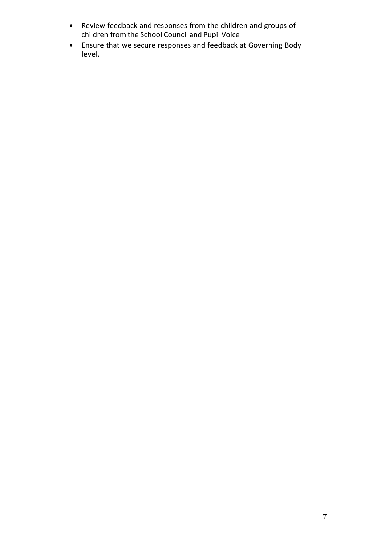- Review feedback and responses from the children and groups of children from the School Council and Pupil Voice
- Ensure that we secure responses and feedback at Governing Body level.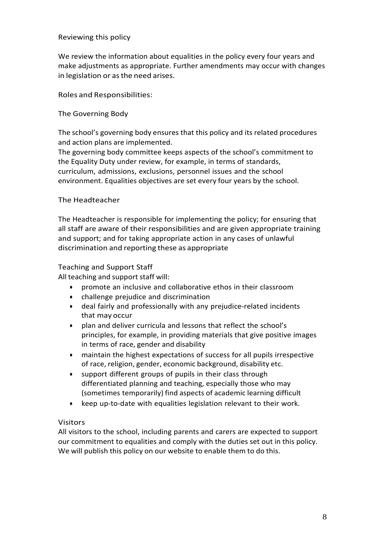#### Reviewing this policy

We review the information about equalities in the policy every four years and make adjustments as appropriate. Further amendments may occur with changes in legislation or as the need arises.

Roles and Responsibilities:

#### The Governing Body

The school's governing body ensures that this policy and its related procedures and action plans are implemented.

The governing body committee keeps aspects of the school's commitment to the Equality Duty under review, for example, in terms of standards, curriculum, admissions, exclusions, personnel issues and the school environment. Equalities objectives are set every four years by the school.

#### The Headteacher

The Headteacher is responsible for implementing the policy; for ensuring that all staff are aware of their responsibilities and are given appropriate training and support; and for taking appropriate action in any cases of unlawful discrimination and reporting these as appropriate

#### Teaching and Support Staff

All teaching and support staff will:

- promote an inclusive and collaborative ethos in their classroom
- challenge prejudice and discrimination
- deal fairly and professionally with any prejudice-related incidents that may occur
- plan and deliver curricula and lessons that reflect the school's principles, for example, in providing materials that give positive images in terms of race, gender and disability
- maintain the highest expectations of success for all pupils irrespective of race, religion, gender, economic background, disability etc.
- support different groups of pupils in their class through differentiated planning and teaching, especially those who may (sometimes temporarily) find aspects of academic learning difficult
- keep up-to-date with equalities legislation relevant to their work.

#### Visitors

All visitors to the school, including parents and carers are expected to support our commitment to equalities and comply with the duties set out in this policy. We will publish this policy on our website to enable them to do this.